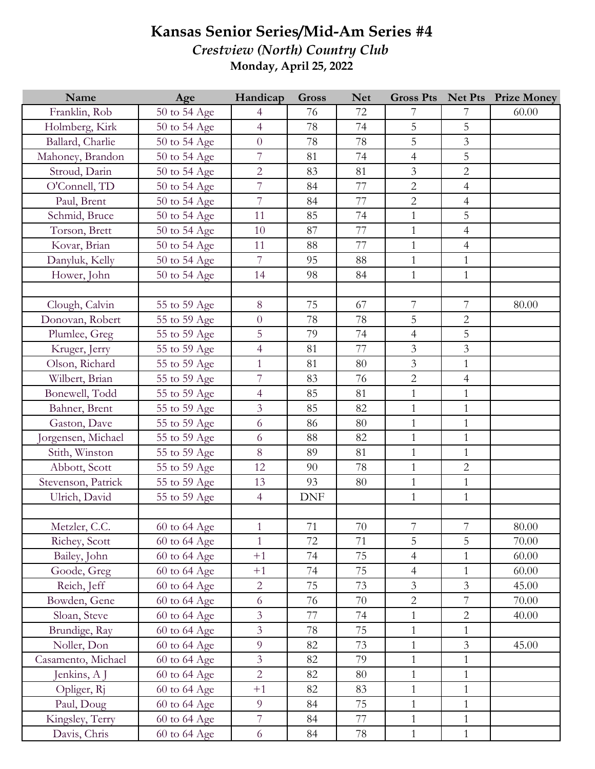## **Kansas Senior Series/Mid-Am Series #4**

*Crestview (North) Country Club* **Monday, April 25, 2022**

| Name               | Age          | Handicap       | <b>Gross</b> | <b>Net</b> | <b>Gross Pts</b> |                | <b>Net Pts</b> Prize Money |
|--------------------|--------------|----------------|--------------|------------|------------------|----------------|----------------------------|
| Franklin, Rob      | 50 to 54 Age | $\overline{4}$ | 76           | 72         | 7                | 7              | 60.00                      |
| Holmberg, Kirk     | 50 to 54 Age | $\overline{4}$ | 78           | 74         | 5                | 5              |                            |
| Ballard, Charlie   | 50 to 54 Age | $\overline{0}$ | 78           | 78         | 5                | $\overline{3}$ |                            |
| Mahoney, Brandon   | 50 to 54 Age | $\overline{7}$ | 81           | 74         | $\overline{4}$   | 5              |                            |
| Stroud, Darin      | 50 to 54 Age | $\overline{2}$ | 83           | 81         | $\mathfrak{Z}$   | $\overline{2}$ |                            |
| O'Connell, TD      | 50 to 54 Age | $\overline{7}$ | 84           | 77         | $\overline{2}$   | $\overline{4}$ |                            |
| Paul, Brent        | 50 to 54 Age | $\overline{7}$ | 84           | 77         | $\overline{2}$   | $\overline{4}$ |                            |
| Schmid, Bruce      | 50 to 54 Age | 11             | 85           | 74         | $\mathbf{1}$     | 5              |                            |
| Torson, Brett      | 50 to 54 Age | 10             | 87           | 77         | $\mathbf{1}$     | $\overline{4}$ |                            |
| Kovar, Brian       | 50 to 54 Age | 11             | 88           | 77         | $\mathbf{1}$     | $\overline{4}$ |                            |
| Danyluk, Kelly     | 50 to 54 Age | $\overline{7}$ | 95           | 88         | $\mathbf{1}$     | $\mathbf{1}$   |                            |
| Hower, John        | 50 to 54 Age | 14             | 98           | 84         | $\mathbf{1}$     | $\mathbf{1}$   |                            |
|                    |              |                |              |            |                  |                |                            |
| Clough, Calvin     | 55 to 59 Age | 8              | 75           | 67         | $\overline{7}$   | $\overline{7}$ | 80.00                      |
| Donovan, Robert    | 55 to 59 Age | $\overline{0}$ | 78           | 78         | 5                | $\overline{2}$ |                            |
| Plumlee, Greg      | 55 to 59 Age | 5              | 79           | 74         | $\overline{4}$   | 5              |                            |
| Kruger, Jerry      | 55 to 59 Age | $\overline{4}$ | 81           | 77         | $\overline{3}$   | $\overline{3}$ |                            |
| Olson, Richard     | 55 to 59 Age | $\mathbf{1}$   | 81           | 80         | $\mathfrak{Z}$   | $\mathbf{1}$   |                            |
| Wilbert, Brian     | 55 to 59 Age | $\overline{7}$ | 83           | 76         | $\overline{2}$   | $\overline{4}$ |                            |
| Bonewell, Todd     | 55 to 59 Age | $\overline{4}$ | 85           | 81         | $\mathbf{1}$     | $\mathbf{1}$   |                            |
| Bahner, Brent      | 55 to 59 Age | $\overline{3}$ | 85           | 82         | $\mathbf{1}$     | $\mathbf{1}$   |                            |
| Gaston, Dave       | 55 to 59 Age | 6              | 86           | 80         | $\mathbf{1}$     | $\mathbf{1}$   |                            |
| orgensen, Michael  | 55 to 59 Age | 6              | 88           | 82         | $\mathbf{1}$     | $\mathbf{1}$   |                            |
| Stith, Winston     | 55 to 59 Age | $8\,$          | 89           | 81         | $\mathbf{1}$     | $\mathbf{1}$   |                            |
| Abbott, Scott      | 55 to 59 Age | 12             | 90           | 78         | $\mathbf{1}$     | $\overline{2}$ |                            |
| Stevenson, Patrick | 55 to 59 Age | 13             | 93           | 80         | $\mathbf{1}$     | $\mathbf{1}$   |                            |
| Ulrich, David      | 55 to 59 Age | $\overline{4}$ | <b>DNF</b>   |            | $\mathbf{1}$     | $\mathbf{1}$   |                            |
|                    |              |                |              |            |                  |                |                            |
| Metzler, C.C.      | 60 to 64 Age | $\mathbf{1}$   | 71           | 70         | $7\phantom{.}$   | $7\phantom{.}$ | 80.00                      |
| Richey, Scott      | 60 to 64 Age | 1              | 72           | 71         | 5                | 5              | 70.00                      |
| Bailey, John       | 60 to 64 Age | $+1$           | 74           | 75         | $\overline{4}$   | $\mathbf{1}$   | 60.00                      |
| Goode, Greg        | 60 to 64 Age | $+1$           | 74           | 75         | $\overline{4}$   | $\mathbf{1}$   | 60.00                      |
| Reich, Jeff        | 60 to 64 Age | $\overline{2}$ | 75           | 73         | $\mathfrak{Z}$   | 3              | 45.00                      |
| Bowden, Gene       | 60 to 64 Age | 6              | 76           | 70         | $\overline{2}$   | $\overline{7}$ | 70.00                      |
| Sloan, Steve       | 60 to 64 Age | $\overline{3}$ | 77           | 74         | $\mathbf{1}$     | $\overline{2}$ | 40.00                      |
| Brundige, Ray      | 60 to 64 Age | $\overline{3}$ | 78           | 75         | $\mathbf{1}$     | $\mathbf{1}$   |                            |
| Noller, Don        | 60 to 64 Age | 9              | 82           | 73         | $\mathbf{1}$     | $\mathfrak{Z}$ | 45.00                      |
| Casamento, Michael | 60 to 64 Age | $\mathfrak{Z}$ | 82           | 79         | $\mathbf{1}$     | $\mathbf{1}$   |                            |
| Jenkins, A J       | 60 to 64 Age | $\overline{2}$ | 82           | 80         | $\mathbf{1}$     | $\mathbf{1}$   |                            |
| Opliger, Rj        | 60 to 64 Age | $+1$           | 82           | 83         | $\mathbf{1}$     | $\mathbf{1}$   |                            |
| Paul, Doug         | 60 to 64 Age | 9              | 84           | 75         | $\mathbf{1}$     | $\mathbf{1}$   |                            |
| Kingsley, Terry    | 60 to 64 Age | $\overline{7}$ | 84           | 77         | $\mathbf{1}$     | $\mathbf{1}$   |                            |
| Davis, Chris       | 60 to 64 Age | 6              | 84           | 78         | $\mathbf{1}$     | $\mathbf{1}$   |                            |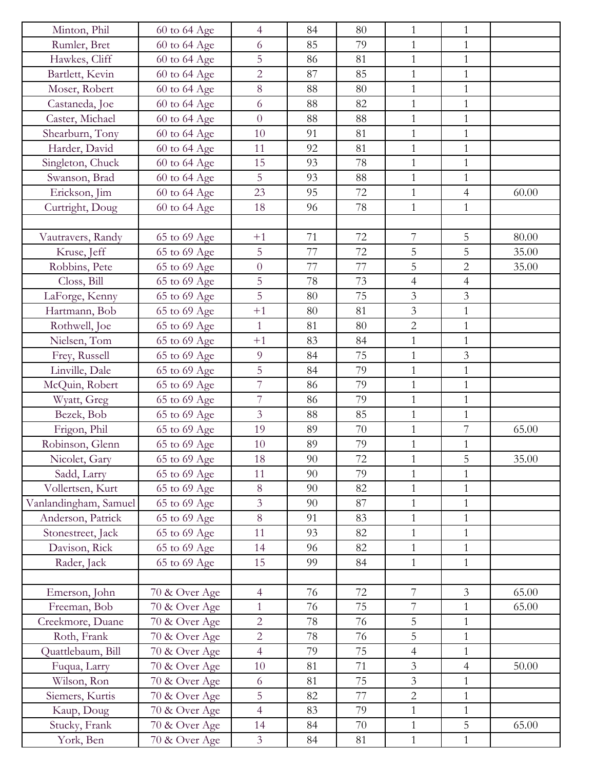| Minton, Phil          | 60 to 64 Age  | $\overline{4}$ | 84 | 80 | 1              | 1              |       |
|-----------------------|---------------|----------------|----|----|----------------|----------------|-------|
| Rumler, Bret          | 60 to 64 Age  | 6              | 85 | 79 | $\mathbf{1}$   | $\mathbf{1}$   |       |
| Hawkes, Cliff         | 60 to 64 Age  | 5              | 86 | 81 | $\mathbf{1}$   | $\mathbf{1}$   |       |
| Bartlett, Kevin       | 60 to 64 Age  | $\overline{2}$ | 87 | 85 | $\mathbf{1}$   | $\mathbf{1}$   |       |
| Moser, Robert         | 60 to 64 Age  | $8\,$          | 88 | 80 | $\mathbf{1}$   | $\mathbf{1}$   |       |
| Castaneda, Joe        | 60 to 64 Age  | 6              | 88 | 82 | $\mathbf{1}$   | $\mathbf{1}$   |       |
| Caster, Michael       | 60 to 64 Age  | $\overline{0}$ | 88 | 88 | $\mathbf{1}$   | $\mathbf{1}$   |       |
| Shearburn, Tony       | 60 to 64 Age  | 10             | 91 | 81 | $\mathbf{1}$   | $\mathbf{1}$   |       |
| Harder, David         | 60 to 64 Age  | 11             | 92 | 81 | $\mathbf{1}$   | $\mathbf{1}$   |       |
| Singleton, Chuck      | 60 to 64 Age  | 15             | 93 | 78 | $\mathbf{1}$   | $\mathbf{1}$   |       |
| Swanson, Brad         | 60 to 64 Age  | 5              | 93 | 88 | $\mathbf{1}$   | $\mathbf{1}$   |       |
| Erickson, Jim         | 60 to 64 Age  | 23             | 95 | 72 | $\mathbf{1}$   | $\overline{4}$ | 60.00 |
| Curtright, Doug       | 60 to 64 Age  | 18             | 96 | 78 | $\mathbf{1}$   | $\mathbf{1}$   |       |
|                       |               |                |    |    |                |                |       |
| Vautravers, Randy     | 65 to 69 Age  | $+1$           | 71 | 72 | 7              | 5              | 80.00 |
| Kruse, Jeff           | 65 to 69 Age  | 5              | 77 | 72 | 5              | 5              | 35.00 |
| Robbins, Pete         | 65 to 69 Age  | $\overline{0}$ | 77 | 77 | 5              | $\overline{2}$ | 35.00 |
| Closs, Bill           | 65 to 69 Age  | 5              | 78 | 73 | $\overline{4}$ | $\overline{4}$ |       |
| LaForge, Kenny        | 65 to 69 Age  | 5              | 80 | 75 | 3              | $\mathfrak{Z}$ |       |
| Hartmann, Bob         | 65 to 69 Age  | $+1$           | 80 | 81 | $\mathfrak{Z}$ | $\mathbf{1}$   |       |
| Rothwell, Joe         | 65 to 69 Age  | $\mathbf{1}$   | 81 | 80 | $\overline{2}$ | $\mathbf{1}$   |       |
| Nielsen, Tom          | 65 to 69 Age  | $+1$           | 83 | 84 | $\mathbf{1}$   | $\mathbf{1}$   |       |
| Frey, Russell         | 65 to 69 Age  | 9              | 84 | 75 | $\mathbf{1}$   | 3              |       |
| Linville, Dale        | 65 to 69 Age  | $\overline{5}$ | 84 | 79 | $\mathbf{1}$   | $\mathbf{1}$   |       |
| McQuin, Robert        | 65 to 69 Age  | $\overline{7}$ | 86 | 79 | $\mathbf{1}$   | $\mathbf{1}$   |       |
| Wyatt, Greg           | 65 to 69 Age  | $\overline{7}$ | 86 | 79 | $\mathbf{1}$   | $\mathbf{1}$   |       |
| Bezek, Bob            | 65 to 69 Age  | $\overline{3}$ | 88 | 85 | $\mathbf{1}$   | $\mathbf{1}$   |       |
| Frigon, Phil          | 65 to 69 Age  | 19             | 89 | 70 | $\mathbf{1}$   | $\overline{7}$ | 65.00 |
| Robinson, Glenn       | 65 to 69 Age  | 10             | 89 | 79 | $\mathbf{1}$   | $\mathbf{1}$   |       |
| Nicolet, Gary         | 65 to 69 Age  | 18             | 90 | 72 | 1              | 5              | 35.00 |
| Sadd, Larry           | 65 to 69 Age  | 11             | 90 | 79 | $\mathbf{1}$   | $\overline{1}$ |       |
| Vollertsen, Kurt      | 65 to 69 Age  | 8              | 90 | 82 | $\mathbf{1}$   | $\mathbf{1}$   |       |
| Vanlandingham, Samuel | 65 to 69 Age  | $\overline{3}$ | 90 | 87 | $\mathbf{1}$   | $\mathbf{1}$   |       |
| Anderson, Patrick     | 65 to 69 Age  | 8              | 91 | 83 | $\mathbf{1}$   | $\mathbf{1}$   |       |
| Stonestreet, Jack     | 65 to 69 Age  | 11             | 93 | 82 | $\mathbf{1}$   | $\mathbf{1}$   |       |
| Davison, Rick         | 65 to 69 Age  | 14             | 96 | 82 | $\mathbf{1}$   | $\mathbf{1}$   |       |
| Rader, Jack           | 65 to 69 Age  | 15             | 99 | 84 | $\mathbf{1}$   | $\mathbf{1}$   |       |
|                       |               |                |    |    |                |                |       |
| Emerson, John         | 70 & Over Age | $\overline{4}$ | 76 | 72 | $\overline{7}$ | $\mathfrak{Z}$ | 65.00 |
| Freeman, Bob          | 70 & Over Age | $\mathbf{1}$   | 76 | 75 | $\overline{7}$ | $\mathbf{1}$   | 65.00 |
| Creekmore, Duane      | 70 & Over Age | $\overline{2}$ | 78 | 76 | $\overline{5}$ | $\mathbf{1}$   |       |
| Roth, Frank           | 70 & Over Age | $\overline{2}$ | 78 | 76 | 5              | $\mathbf{1}$   |       |
| Quattlebaum, Bill     | 70 & Over Age | $\overline{4}$ | 79 | 75 | $\overline{4}$ | $\mathbf{1}$   |       |
| Fuqua, Larry          | 70 & Over Age | 10             | 81 | 71 | $\mathfrak{Z}$ | $\overline{4}$ | 50.00 |
| Wilson, Ron           | 70 & Over Age | 6              | 81 | 75 | $\mathfrak{Z}$ | $\mathbf{1}$   |       |
| Siemers, Kurtis       | 70 & Over Age | 5              | 82 | 77 | $\overline{2}$ | $\mathbf{1}$   |       |
| Kaup, Doug            | 70 & Over Age | $\overline{4}$ | 83 | 79 | $\mathbf{1}$   | $\mathbf{1}$   |       |
| Stucky, Frank         | 70 & Over Age | 14             | 84 | 70 | $\mathbf{1}$   | 5              | 65.00 |
| York, Ben             | 70 & Over Age | $\overline{3}$ | 84 | 81 | $\mathbf{1}$   | $\mathbf{1}$   |       |
|                       |               |                |    |    |                |                |       |